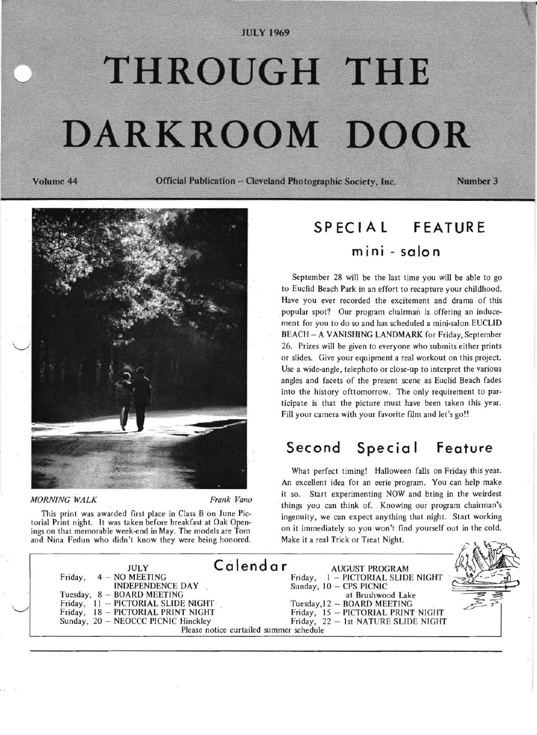### **lUCY 1969**

# **THROUGH THE DARKROOM DOOR**

**Volume 44 OffICial Publication - Cleveland Photographic Society. Inc.** 

Number 3



*MORNING WALK Frank Vano* 

This print was awarded first place in Class B on June Pictorial Print night. It was taken before breakfast at Oak Openings on that memorable week-end in May. The models are Tom and Nina Fedun who didn't know they were being honored.

# **SPECIAL FEATURE**  mini - salon

September 28 will be the last time you will be able to go to Euclid Beach Park in an effort to recapture your childhood. Have you ever recorded the excitement and drama of this popular spot? Our program chairman is offering an inducement for you to do so and has scheduled a mini-salon EUCLID BEACH - A VANISHING LANDMARK for Friday, September 26. Prizes will be given to everyone who submits either prints or slides. Give your equipment a real workout on this project. Use a wide-angle, telephoto or close-up to interpret the various angles and facets of the present scene as Euclid Beach fades into the history ofttomorrow. The only requirement to participate is that the picture must have been taken this year. Fill your camera with your favorite film and let's go!!

# Second Special Feature

What perfect timing! Halloween falls on Friday this year. An excellent idea for an eerie program. You can help make it so. Start experimenting NOW and bring in the weirdest things you can think of. Knowing our program chairman's ingenuity, we can expect anything that night. Start working on it immediately so you won't find yourself out in the cold. Make it a real Trick or Treat Night.

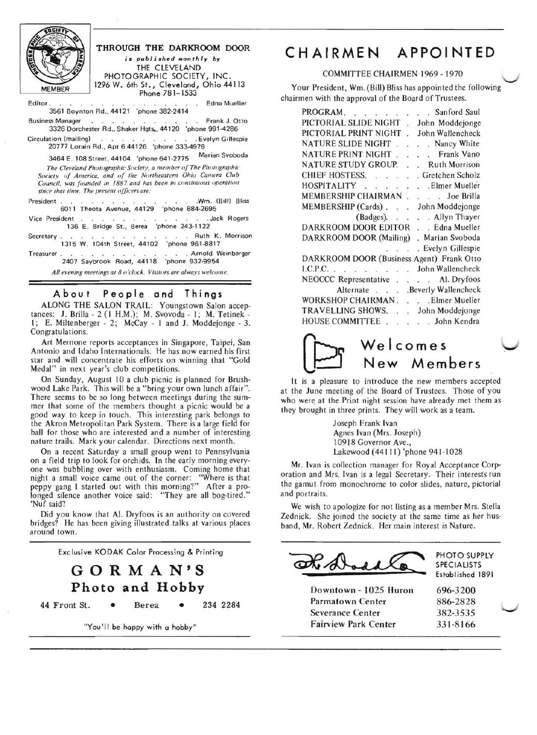

## THROUGH THE DARKROOM DOOR is published monthly by THE CLEVELAND PHOTOGRAPHIC SOCIETY, INC.

Phone 781-1533

 1296W. 6th St., Cleveland, Ohio44113 Editor. .. .. .. ..... Edna Mueller 3561 Boynton Rd., 44121 'phone 382·2414

Business Manager . . . . . . Frank J. Otto 3326 Dorchester Rd., Shaker Hgts., 44120 'phone 991·4286

Circulation (mailing) . . . . . . . . . Evelyn Gillespie

20777 Lorain Rd., Apt 6 44126 'phone 333-4979<br>2464 E. 108 Street, 44104, 'ebene 641.2775 Marian Svoboda 3464 E. 108 Street, 44104 'phone 641-2775

*The Cleveland Phulographic Society, a member of The Photographic*  Society of America, and of the Northeastern Ohio Camera Club *Cuunt:il, was founded in 1887 and has been in continuuus operation since that time. The present oj/icers are:* 

President. . . . . . . . . . . . . . . . . Wm. (Bill) Bliss 6011 Theota Avenue, 44129 'phone 884·2695

Vice President . . . . . . . . . . . Jack Rogers 136 E. Bridge St., Berea 'phone 243·1122

Secretary . . Ruth K. Morrison 1315 W. 104th Street, 44102

Treasurer. . . . . . . . . . . . Arnold Weinberger 2407 Saybrook Road, 44118 'phone 932·9954

*All evening meetings at 80 'duck. Visitors are always welcome.* 

## About People and Things

ALONG THE SALON TRAIL: Youngstown Salon acceptances: J. Brilla - 2 (I H.M.); M. Svovoda - I; M. Tetinek I; E. Miltenberger - 2; McCay - I and J. Moddejonge - 3. Congratulations.

Art Mernone reports acceptances in Singapore, Taipei, San Antonio and Idaho Internationals. He has now earned his first star and will concentrate his efforts on winning that "Gold Medal" in next year's club competitions.

On Sunday, August lOa club picnic is planned for Brushwood Lake Park. This will be a "bring your own lunch affair". There seems to be so long between meetings during the summer that some of the members thought a picnic would be a good way to keep in touch. This interesting park belongs to the Akron Metropolitan Park System. There is a large field for ball for those who are interested and a number of interesting nature trails. Mark your calendar. Directions next month.

On a recent Saturday a small group went to Pennsylvania on a field trip to look for orchids. In the early morning everyone was bubbling over with enthusiasm. Coming home that night a small voice came out of the corner: "Where is that peppy gang I started out with this morning?" After a prolonged silence another voice said: "They are all bog-tired." 'Nuf said?

Did you know that Al. Dryfoos is an authority on covered bridges? He has been giving illustrated talks at various places around town.

Exclusive KODAK Color Processing & Printing

# **GORMAN'S Photo and Hobby**

44 Front St. • Berea • 234 2284

"You'll be happy with a hobby"

# **CHAIRMEN APPOINTED**

#### COMMITTEE CHAIRMEN 1969 - 1970

Your President, Wm. (Bill) Bliss has appointed the following chairmen with the approval of the Board of Trustees.

| PROGRAM.<br>Sanford Saul<br>$\sim$ , and gas $\sim$ to |
|--------------------------------------------------------|
| PICTORIAL SLIDE NIGHT<br>John Moddejonge               |
| PICTORIAL PRINT NIGHT<br>John Wallencheck              |
| NATURE SLIDE NIGHT<br>. Nancy White                    |
| NATURE PRINT NIGHT.<br>Frank Vano<br>L.                |
| NATURE STUDY GROUP.<br><b>Ruth Morrison</b>            |
| CHIEF HOSTESS.<br>. Gretchen Scholz<br>í,              |
| <b>HOSPITALITY</b><br>. Elmer Mueller                  |
| MEMBERSHIP CHAIRMAN<br>. Joe Brilla                    |
| MEMBERSHIP (Cards).<br>John Moddejonge                 |
| . Allyn Thayer<br>(Badges).<br>$\sim$ $\sim$           |
| DARKROOM DOOR EDITOR<br>. Edna Mueller<br>$\sim$       |
| DARKROOM DOOR (Mailing)<br>Marian Svoboda              |
| Evelyn Gillespie<br>an an a                            |
| DARKROOM DOOR (Business Agent) Frank Otto              |
| L.C.P.C.<br>John Wallencheck                           |
| NEOCCC Representative<br>. . Al. Dryfoos<br>à,         |
| .Beverly Wallencheck<br>Alternate                      |
| WORKSHOP CHAIRMAN.<br>. Elmer Mueller                  |
| TRAVELLING SHOWS.<br>John Moddejonge                   |
| HOUSE COMMITTEE<br>. John Kendra                       |



It is a pleasure to introduce the new members accepted at the June meeting of the Board of Trustees. Those of you who were. at the Print night session have already met them as they brought in three prints. They will work as a team.

> Joseph Frank Ivan Agnes Ivan (Mrs. Joseph) 10918 Governor Ave., Lakewood (44111) 'phone 941-1028

Mr. Ivan is collection manager for Royal Acceptance Corporation and Mrs. Ivan is a legal Secretary. Their interests run the gamut from monochrome to color slides, nature, pictorial and portraits.

We wish to apologize for not listing as a member Mrs. Stella Zednick. She joined the society at the same time as her husband, Mr. Robert Zednick. Her main interest is Nature.

PHOTO SUPPLY SPECIALISTS Establ ished 1891

Downtown - 1025 Huron 696-3200 Parmatown Center 886-2828 Severance Center 382-3535 Fairview Park Center 331-8166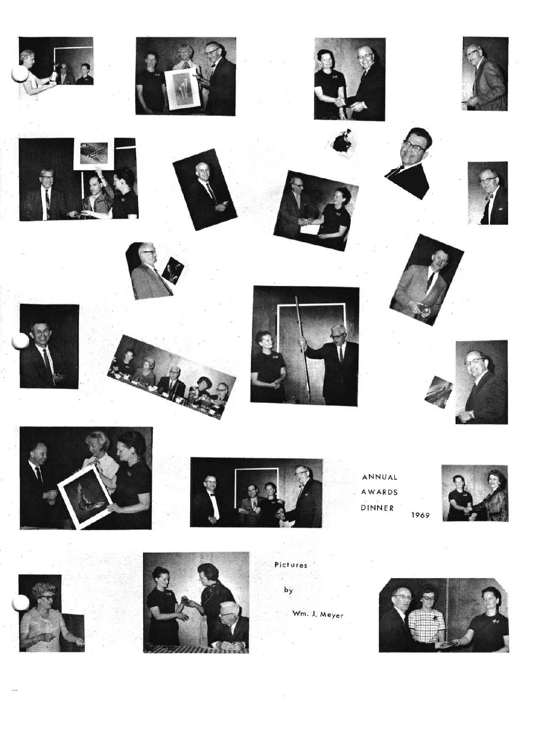





ANNUAL AWARDS DINNER 1969







Pictures by

Wm. J. Meyer